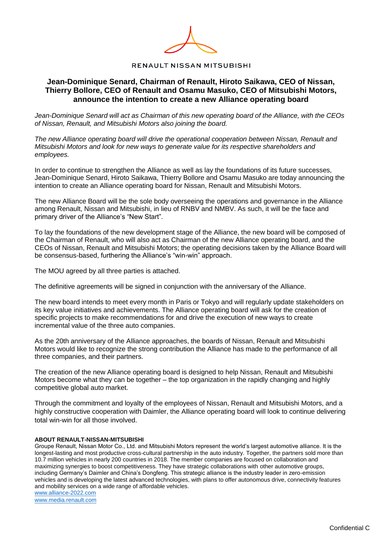

**RENAULT NISSAN MITSUBISHI** 

## **Jean-Dominique Senard, Chairman of Renault, Hiroto Saikawa, CEO of Nissan, Thierry Bollore, CEO of Renault and Osamu Masuko, CEO of Mitsubishi Motors, announce the intention to create a new Alliance operating board**

*Jean-Dominique Senard will act as Chairman of this new operating board of the Alliance, with the CEOs of Nissan, Renault, and Mitsubishi Motors also joining the board.* 

*The new Alliance operating board will drive the operational cooperation between Nissan, Renault and Mitsubishi Motors and look for new ways to generate value for its respective shareholders and employees.*

In order to continue to strengthen the Alliance as well as lay the foundations of its future successes, Jean-Dominique Senard, Hiroto Saikawa, Thierry Bollore and Osamu Masuko are today announcing the intention to create an Alliance operating board for Nissan, Renault and Mitsubishi Motors.

The new Alliance Board will be the sole body overseeing the operations and governance in the Alliance among Renault, Nissan and Mitsubishi, in lieu of RNBV and NMBV. As such, it will be the face and primary driver of the Alliance's "New Start".

To lay the foundations of the new development stage of the Alliance, the new board will be composed of the Chairman of Renault, who will also act as Chairman of the new Alliance operating board, and the CEOs of Nissan, Renault and Mitsubishi Motors; the operating decisions taken by the Alliance Board will be consensus-based, furthering the Alliance's "win-win" approach.

The MOU agreed by all three parties is attached.

The definitive agreements will be signed in conjunction with the anniversary of the Alliance.

The new board intends to meet every month in Paris or Tokyo and will regularly update stakeholders on its key value initiatives and achievements. The Alliance operating board will ask for the creation of specific projects to make recommendations for and drive the execution of new ways to create incremental value of the three auto companies.

As the 20th anniversary of the Alliance approaches, the boards of Nissan, Renault and Mitsubishi Motors would like to recognize the strong contribution the Alliance has made to the performance of all three companies, and their partners.

The creation of the new Alliance operating board is designed to help Nissan, Renault and Mitsubishi Motors become what they can be together – the top organization in the rapidly changing and highly competitive global auto market.

Through the commitment and loyalty of the employees of Nissan, Renault and Mitsubishi Motors, and a highly constructive cooperation with Daimler, the Alliance operating board will look to continue delivering total win-win for all those involved.

## **ABOUT RENAULT-NISSAN-MITSUBISHI**

Groupe Renault, Nissan Motor Co., Ltd. and Mitsubishi Motors represent the world's largest automotive alliance. It is the longest-lasting and most productive cross-cultural partnership in the auto industry. Together, the partners sold more than 10.7 million vehicles in nearly 200 countries in 2018. The member companies are focused on collaboration and maximizing synergies to boost competitiveness. They have strategic collaborations with other automotive groups, including Germany's Daimler and China's Dongfeng. This strategic alliance is the industry leader in zero-emission vehicles and is developing the latest advanced technologies, with plans to offer autonomous drive, connectivity features and mobility services on a wide range of affordable vehicles. [www.alliance-2022.com](http://www.alliance-2022.com/)

[www.media.renault.com](http://www.media.renault.com/)